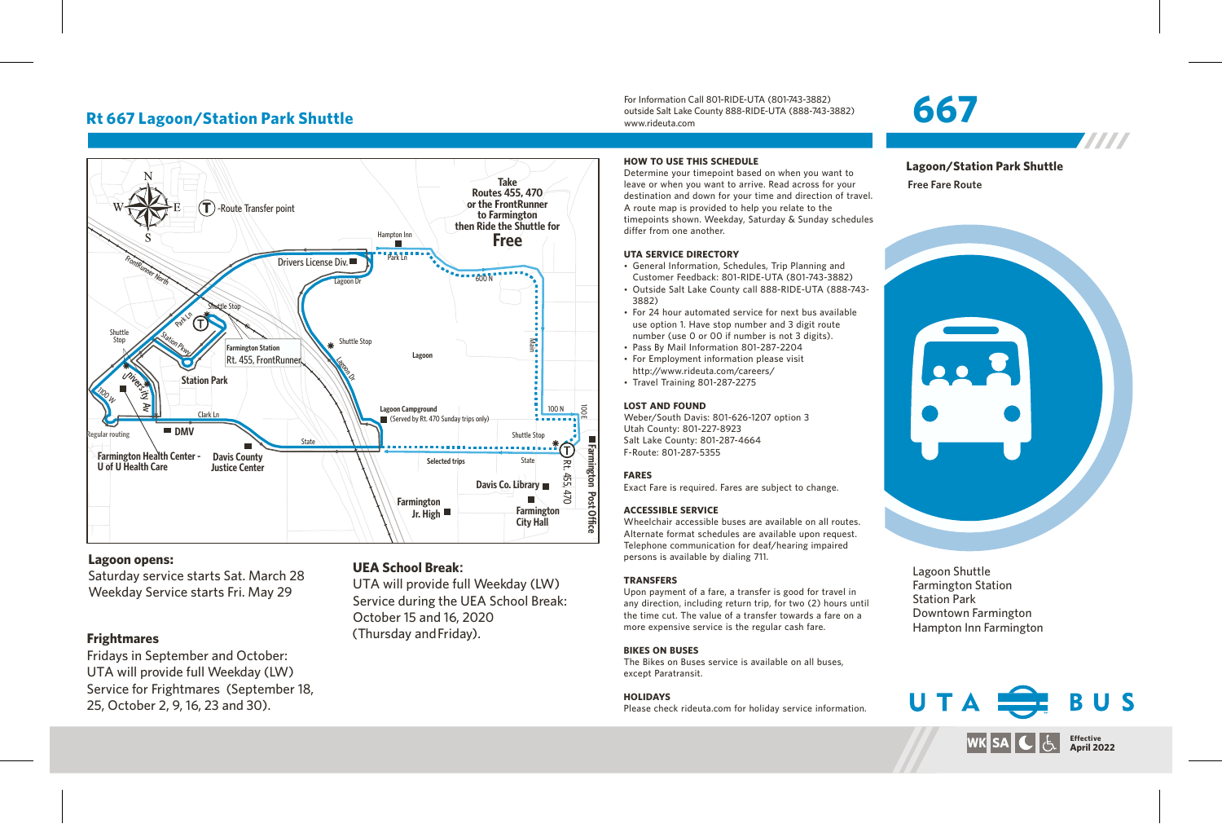# **Rt 667 Lagoon/Station Park Shuttle**



#### **Lagoon opens:**

Saturday service starts Sat. March 28 Weekday Service starts Fri. May 29

### **Frightmares**

Fridays in September and October: UTA will provide full Weekday (LW) Service for Frightmares (September 18, 25, October 2, 9, 16, 23 and 30).

#### **UEA School Break:**

UTA will provide full Weekday (LW) Service during the UEA School Break: October 15 and 16, 2020 (Thursday andFriday).

#### **HOW TO USE THIS SCHEDULE**

www.rideuta.com

Determine your timepoint based on when you want to leave or when you want to arrive. Read across for your destination and down for your time and direction of travel. A route map is provided to help you relate to the timepoints shown. Weekday, Saturday & Sunday schedules differ from one another.

For Information Call 801-RIDE-UTA (801-743-3882) outside Salt Lake County 888-RIDE-UTA (888-743-3882)

#### **UTA SERVICE DIRECTORY**

- General Information, Schedules, Trip Planning and Customer Feedback: 801-RIDE-UTA (801-743-3882)
- Outside Salt Lake County call 888-RIDE-UTA (888-743-3882)
- For 24 hour automated service for next bus available use option 1. Have stop number and 3 digit route number (use 0 or 00 if number is not 3 digits).
- Pass By Mail Information 801-287-2204
- For Employment information please visit http://www.rideuta.com/careers/
- $\cdot$  Travel Training 801-287-2275

#### **LOST AND FOUND**

Weber/South Davis: 801-626-1207 option 3 Utah County: 801-227-8923 Salt Lake County: 801-287-4664 F-Route: 801-287-5355

#### **FARES**

Exact Fare is required. Fares are subject to change.

#### **ACCESSIBLE SERVICE**

Wheelchair accessible buses are available on all routes. Alternate format schedules are available upon request. Telephone communication for deaf/hearing impaired persons is available by dialing 711.

#### **TRANSFERS**

Upon payment of a fare, a transfer is good for travel in any direction, including return trip, for two (2) hours until the time cut. The value of a transfer towards a fare on a more expensive service is the regular cash fare.

#### **BIKES ON BUSES**

The Bikes on Buses service is available on all buses, except Paratransit.

#### **HOLIDAYS**

Please check rideuta.com for holiday service information.

# **667**

**Lagoon/Station Park Shuttle**

7777

**Free Fare Route**



Lagoon Shuttle Farmington Station Station Park Downtown Farmington Hampton Inn Farmington